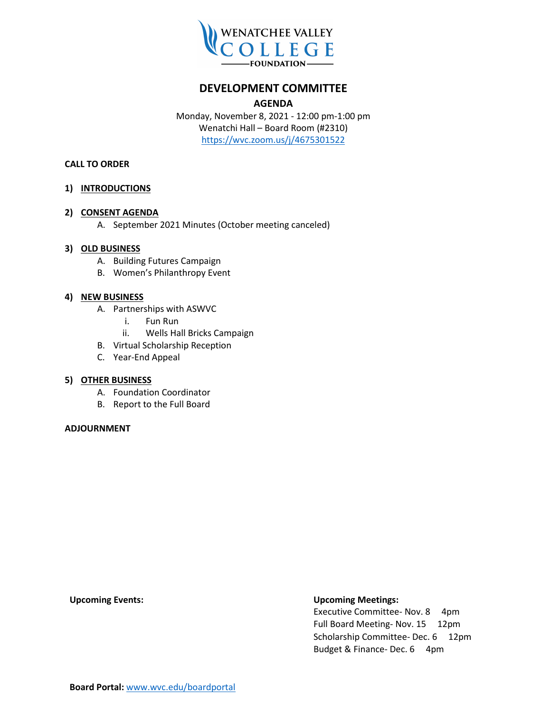

## **DEVELOPMENT COMMITTEE**

#### **AGENDA**

Monday, November 8, 2021 - 12:00 pm-1:00 pm Wenatchi Hall – Board Room (#2310) <https://wvc.zoom.us/j/4675301522>

#### **CALL TO ORDER**

#### **1) INTRODUCTIONS**

#### **2) CONSENT AGENDA**

A. September 2021 Minutes (October meeting canceled)

#### **3) OLD BUSINESS**

- A. Building Futures Campaign
- B. Women's Philanthropy Event

#### **4) NEW BUSINESS**

- A. Partnerships with ASWVC
	- i. Fun Run
	- ii. Wells Hall Bricks Campaign
- B. Virtual Scholarship Reception
- C. Year-End Appeal

#### **5) OTHER BUSINESS**

- A. Foundation Coordinator
- B. Report to the Full Board

#### **ADJOURNMENT**

#### **Upcoming Events: Upcoming Meetings:**

Executive Committee- Nov. 8 4pm Full Board Meeting- Nov. 15 12pm Scholarship Committee- Dec. 6 12pm Budget & Finance- Dec. 6 4pm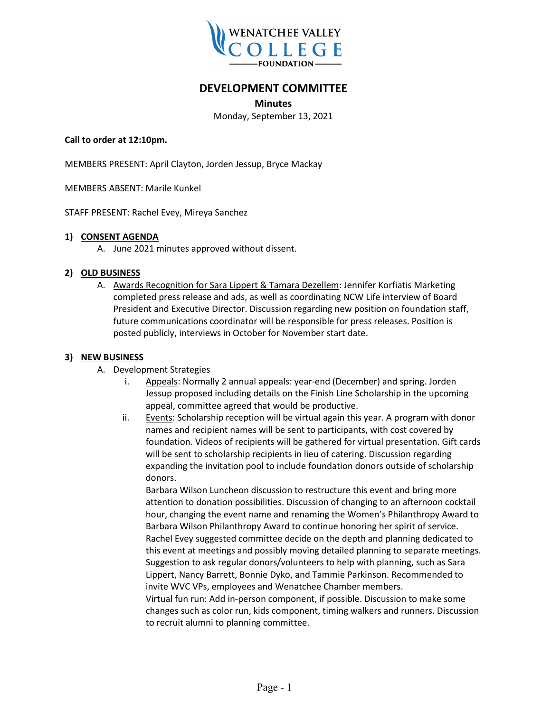

## **DEVELOPMENT COMMITTEE**

**Minutes**

Monday, September 13, 2021

#### **Call to order at 12:10pm.**

MEMBERS PRESENT: April Clayton, Jorden Jessup, Bryce Mackay

MEMBERS ABSENT: Marile Kunkel

STAFF PRESENT: Rachel Evey, Mireya Sanchez

#### **1) CONSENT AGENDA**

A. June 2021 minutes approved without dissent.

#### **2) OLD BUSINESS**

A. Awards Recognition for Sara Lippert & Tamara Dezellem: Jennifer Korfiatis Marketing completed press release and ads, as well as coordinating NCW Life interview of Board President and Executive Director. Discussion regarding new position on foundation staff, future communications coordinator will be responsible for press releases. Position is posted publicly, interviews in October for November start date.

#### **3) NEW BUSINESS**

- A. Development Strategies
	- i. Appeals: Normally 2 annual appeals: year-end (December) and spring. Jorden Jessup proposed including details on the Finish Line Scholarship in the upcoming appeal, committee agreed that would be productive.
	- ii. Events: Scholarship reception will be virtual again this year. A program with donor names and recipient names will be sent to participants, with cost covered by foundation. Videos of recipients will be gathered for virtual presentation. Gift cards will be sent to scholarship recipients in lieu of catering. Discussion regarding expanding the invitation pool to include foundation donors outside of scholarship donors.

Barbara Wilson Luncheon discussion to restructure this event and bring more attention to donation possibilities. Discussion of changing to an afternoon cocktail hour, changing the event name and renaming the Women's Philanthropy Award to Barbara Wilson Philanthropy Award to continue honoring her spirit of service. Rachel Evey suggested committee decide on the depth and planning dedicated to this event at meetings and possibly moving detailed planning to separate meetings. Suggestion to ask regular donors/volunteers to help with planning, such as Sara Lippert, Nancy Barrett, Bonnie Dyko, and Tammie Parkinson. Recommended to invite WVC VPs, employees and Wenatchee Chamber members.

Virtual fun run: Add in-person component, if possible. Discussion to make some changes such as color run, kids component, timing walkers and runners. Discussion to recruit alumni to planning committee.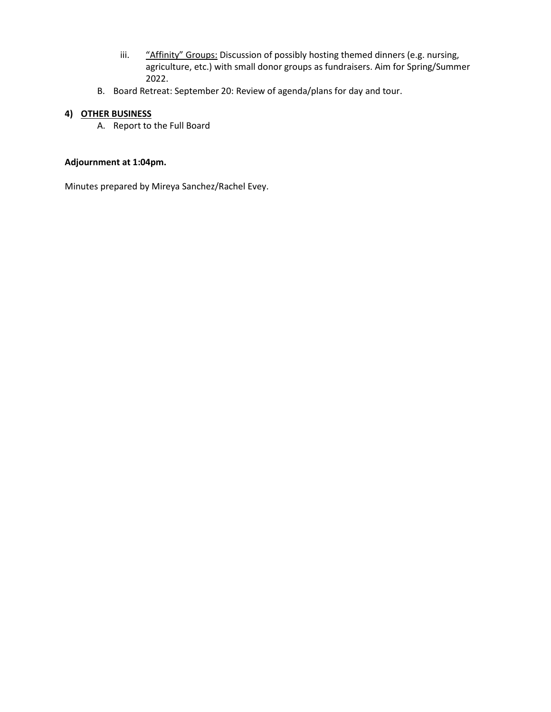- iii. "Affinity" Groups: Discussion of possibly hosting themed dinners (e.g. nursing, agriculture, etc.) with small donor groups as fundraisers. Aim for Spring/Summer 2022.
- B. Board Retreat: September 20: Review of agenda/plans for day and tour.

## **4) OTHER BUSINESS**

A. Report to the Full Board

### **Adjournment at 1:04pm.**

Minutes prepared by Mireya Sanchez/Rachel Evey.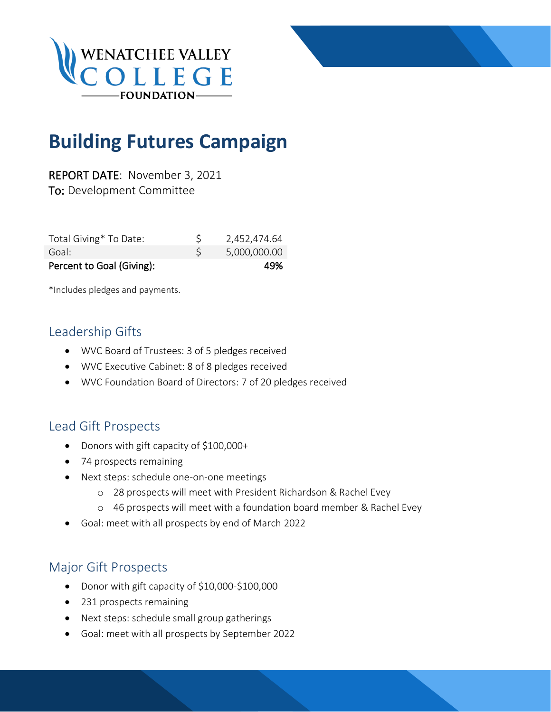



REPORT DATE: November 3, 2021 To: Development Committee

| Total Giving* To Date:    | 2,452,474.64 |
|---------------------------|--------------|
| Goal:                     | 5,000,000.00 |
| Percent to Goal (Giving): | 49%          |

\*Includes pledges and payments.

## Leadership Gifts

- WVC Board of Trustees: 3 of 5 pledges received
- WVC Executive Cabinet: 8 of 8 pledges received
- WVC Foundation Board of Directors: 7 of 20 pledges received

## Lead Gift Prospects

- Donors with gift capacity of \$100,000+
- 74 prospects remaining
- Next steps: schedule one-on-one meetings
	- o 28 prospects will meet with President Richardson & Rachel Evey
	- o 46 prospects will meet with a foundation board member & Rachel Evey
- Goal: meet with all prospects by end of March 2022

## Major Gift Prospects

- Donor with gift capacity of \$10,000-\$100,000
- 231 prospects remaining
- Next steps: schedule small group gatherings
- Goal: meet with all prospects by September 2022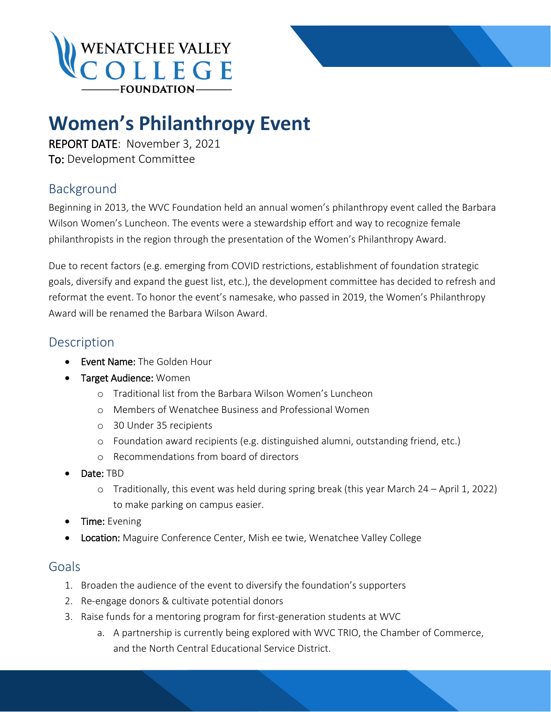

## **Women's Philanthropy Event**

REPORT DATE: November 3, 2021 To: Development Committee

## Background

Beginning in 2013, the WVC Foundation held an annual women's philanthropy event called the Barbara Wilson Women's Luncheon. The events were a stewardship effort and way to recognize female philanthropists in the region through the presentation of the Women's Philanthropy Award.

Due to recent factors (e.g. emerging from COVID restrictions, establishment of foundation strategic goals, diversify and expand the guest list, etc.), the development committee has decided to refresh and reformat the event. To honor the event's namesake, who passed in 2019, the Women's Philanthropy Award will be renamed the Barbara Wilson Award.

## Description

- Event Name: The Golden Hour
- Target Audience: Women
	- o Traditional list from the Barbara Wilson Women's Luncheon
	- o Members of Wenatchee Business and Professional Women
	- o 30 Under 35 recipients
	- o Foundation award recipients (e.g. distinguished alumni, outstanding friend, etc.)
	- o Recommendations from board of directors
- Date: TBD
	- o Traditionally, this event was held during spring break (this year March 24 April 1, 2022) to make parking on campus easier.
- Time: Evening
- Location: Maguire Conference Center, Mish ee twie, Wenatchee Valley College

## Goals

- 1. Broaden the audience of the event to diversify the foundation's supporters
- 2. Re-engage donors & cultivate potential donors
- 3. Raise funds for a mentoring program for first-generation students at WVC
	- a. A partnership is currently being explored with WVC TRIO, the Chamber of Commerce, and the North Central Educational Service District.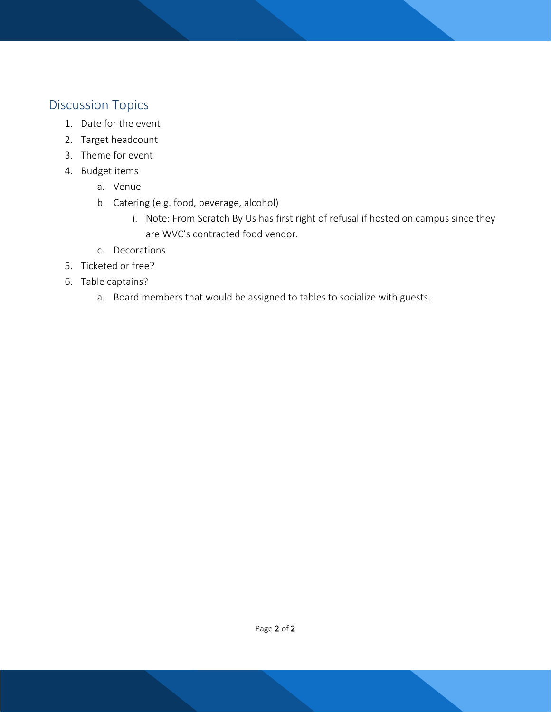## Discussion Topics

- 1. Date for the event
- 2. Target headcount
- 3. Theme for event
- 4. Budget items
	- a. Venue
	- b. Catering (e.g. food, beverage, alcohol)
		- i. Note: From Scratch By Us has first right of refusal if hosted on campus since they are WVC's contracted food vendor.
	- c. Decorations
- 5. Ticketed or free?
- 6. Table captains?
	- a. Board members that would be assigned to tables to socialize with guests.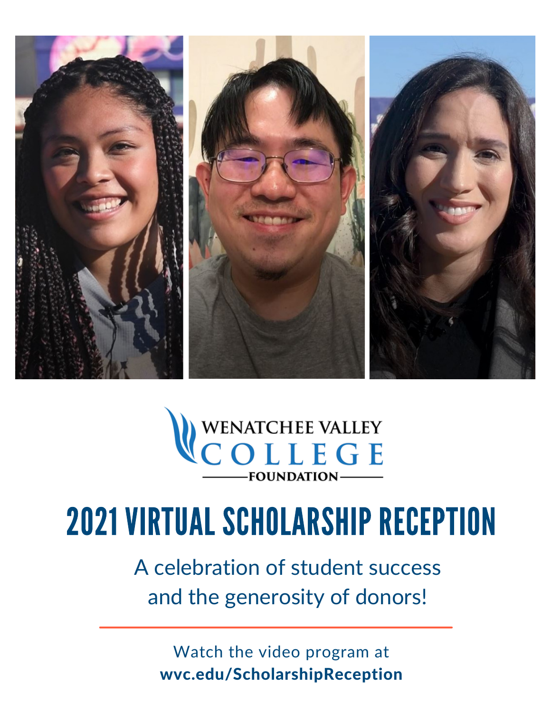



# 2021 VIRTUAL SCHOLARSHIP RECEPTION

A celebration of student success and the generosity of donors!

Watch the video program at wvc.edu/ScholarshipReception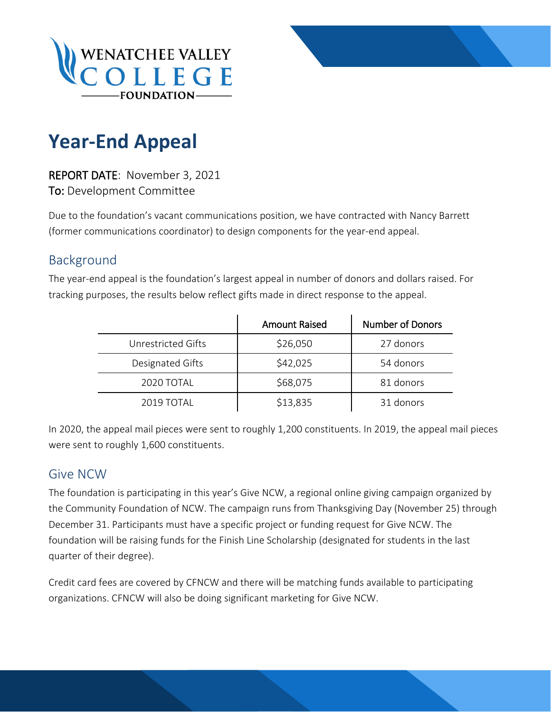



REPORT DATE: November 3, 2021 To: Development Committee

Due to the foundation's vacant communications position, we have contracted with Nancy Barrett (former communications coordinator) to design components for the year-end appeal.

## Background

The year-end appeal is the foundation's largest appeal in number of donors and dollars raised. For tracking purposes, the results below reflect gifts made in direct response to the appeal.

|                    | <b>Amount Raised</b> | <b>Number of Donors</b> |
|--------------------|----------------------|-------------------------|
| Unrestricted Gifts | \$26,050             | 27 donors               |
| Designated Gifts   | \$42,025             | 54 donors               |
| 2020 TOTAL         | \$68,075             | 81 donors               |
| 2019 TOTAL         | \$13,835             | 31 donors               |

In 2020, the appeal mail pieces were sent to roughly 1,200 constituents. In 2019, the appeal mail pieces were sent to roughly 1,600 constituents.

## Give NCW

The foundation is participating in this year's Give NCW, a regional online giving campaign organized by the Community Foundation of NCW. The campaign runs from Thanksgiving Day (November 25) through December 31. Participants must have a specific project or funding request for Give NCW. The foundation will be raising funds for the Finish Line Scholarship (designated for students in the last quarter of their degree).

Credit card fees are covered by CFNCW and there will be matching funds available to participating organizations. CFNCW will also be doing significant marketing for Give NCW.